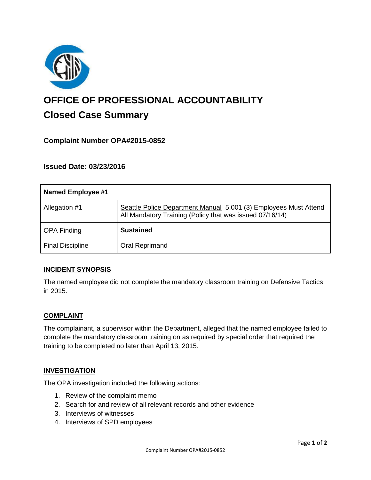

# **OFFICE OF PROFESSIONAL ACCOUNTABILITY Closed Case Summary**

# **Complaint Number OPA#2015-0852**

# **Issued Date: 03/23/2016**

| <b>Named Employee #1</b> |                                                                                                                              |
|--------------------------|------------------------------------------------------------------------------------------------------------------------------|
| Allegation #1            | Seattle Police Department Manual 5.001 (3) Employees Must Attend<br>All Mandatory Training (Policy that was issued 07/16/14) |
| <b>OPA Finding</b>       | <b>Sustained</b>                                                                                                             |
| <b>Final Discipline</b>  | <b>Oral Reprimand</b>                                                                                                        |

## **INCIDENT SYNOPSIS**

The named employee did not complete the mandatory classroom training on Defensive Tactics in 2015.

#### **COMPLAINT**

The complainant, a supervisor within the Department, alleged that the named employee failed to complete the mandatory classroom training on as required by special order that required the training to be completed no later than April 13, 2015.

#### **INVESTIGATION**

The OPA investigation included the following actions:

- 1. Review of the complaint memo
- 2. Search for and review of all relevant records and other evidence
- 3. Interviews of witnesses
- 4. Interviews of SPD employees